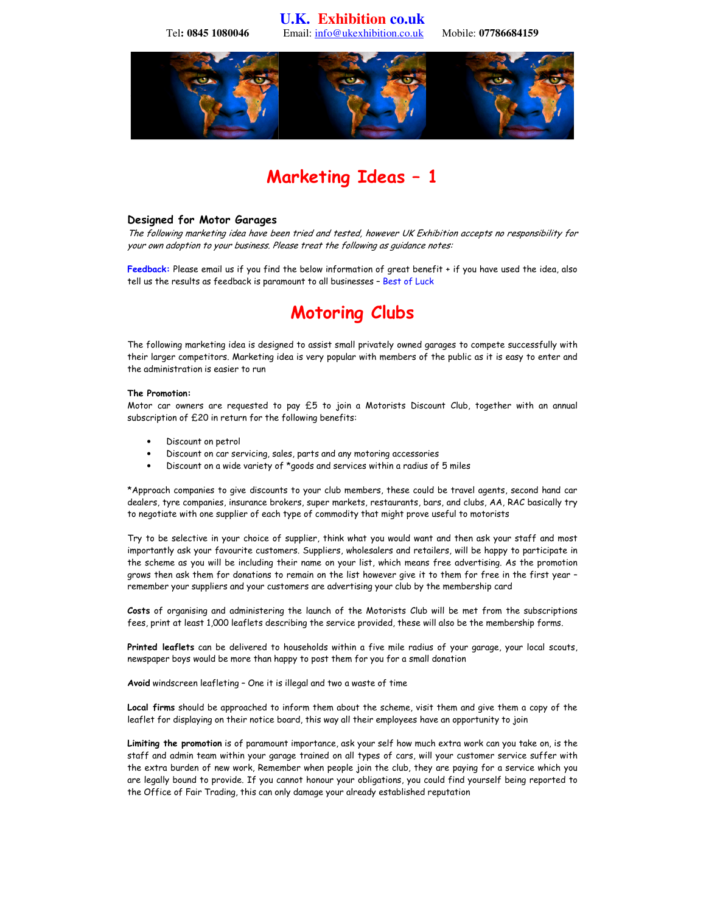**U.K. Exhibition co.uk**  Tel**: 0845 1080046** Email: info@ukexhibition.co.uk Mobile: **07786684159** 



## Marketing Ideas – 1

## Designed for Motor Garages

The following marketing idea have been tried and tested, however UK Exhibition accepts no responsibility for your own adoption to your business. Please treat the following as guidance notes:

Feedback: Please email us if you find the below information of great benefit + if you have used the idea, also tell us the results as feedback is paramount to all businesses – Best of Luck

# Motoring Clubs

The following marketing idea is designed to assist small privately owned garages to compete successfully with their larger competitors. Marketing idea is very popular with members of the public as it is easy to enter and the administration is easier to run

## The Promotion:

Motor car owners are requested to pay £5 to join a Motorists Discount Club, together with an annual subscription of £20 in return for the following benefits:

- Discount on petrol
- Discount on car servicing, sales, parts and any motoring accessories
- Discount on a wide variety of \*goods and services within a radius of 5 miles

\*Approach companies to give discounts to your club members, these could be travel agents, second hand car dealers, tyre companies, insurance brokers, super markets, restaurants, bars, and clubs, AA, RAC basically try to negotiate with one supplier of each type of commodity that might prove useful to motorists

Try to be selective in your choice of supplier, think what you would want and then ask your staff and most importantly ask your favourite customers. Suppliers, wholesalers and retailers, will be happy to participate in the scheme as you will be including their name on your list, which means free advertising. As the promotion grows then ask them for donations to remain on the list however give it to them for free in the first year – remember your suppliers and your customers are advertising your club by the membership card

Costs of organising and administering the launch of the Motorists Club will be met from the subscriptions fees, print at least 1,000 leaflets describing the service provided, these will also be the membership forms.

Printed leaflets can be delivered to households within a five mile radius of your garage, your local scouts, newspaper boys would be more than happy to post them for you for a small donation

Avoid windscreen leafleting – One it is illegal and two a waste of time

Local firms should be approached to inform them about the scheme, visit them and give them a copy of the leaflet for displaying on their notice board, this way all their employees have an opportunity to join

Limiting the promotion is of paramount importance, ask your self how much extra work can you take on, is the staff and admin team within your garage trained on all types of cars, will your customer service suffer with the extra burden of new work, Remember when people join the club, they are paying for a service which you are legally bound to provide. If you cannot honour your obligations, you could find yourself being reported to the Office of Fair Trading, this can only damage your already established reputation